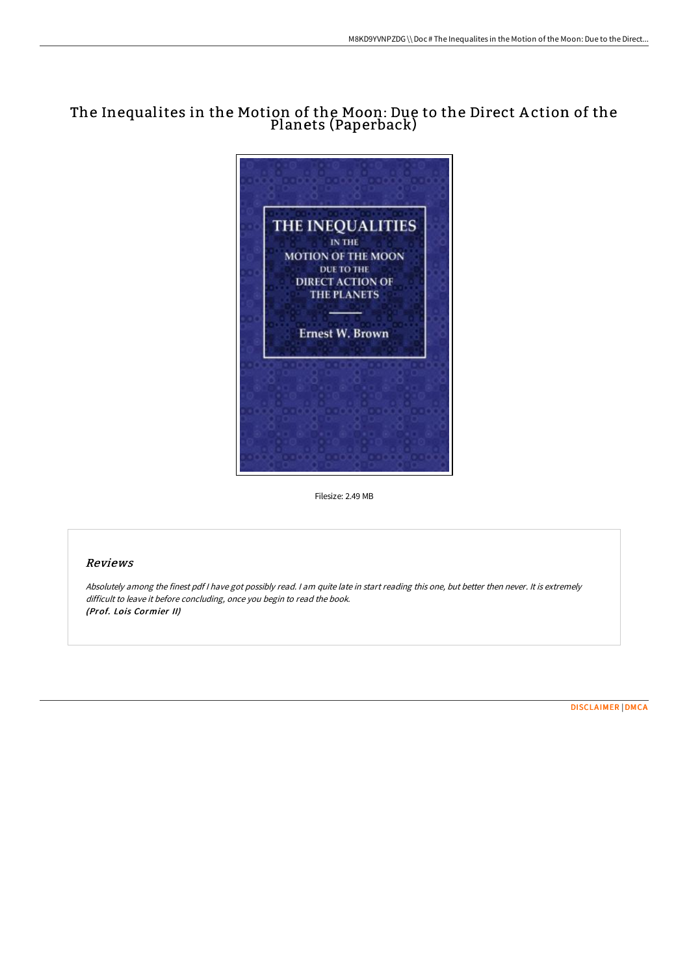# The Inequalites in the Motion of the Moon: Due to the Direct A ction of the Planets (Paperback)



Filesize: 2.49 MB

# Reviews

Absolutely among the finest pdf <sup>I</sup> have got possibly read. <sup>I</sup> am quite late in start reading this one, but better then never. It is extremely difficult to leave it before concluding, once you begin to read the book. (Prof. Lois Cormier II)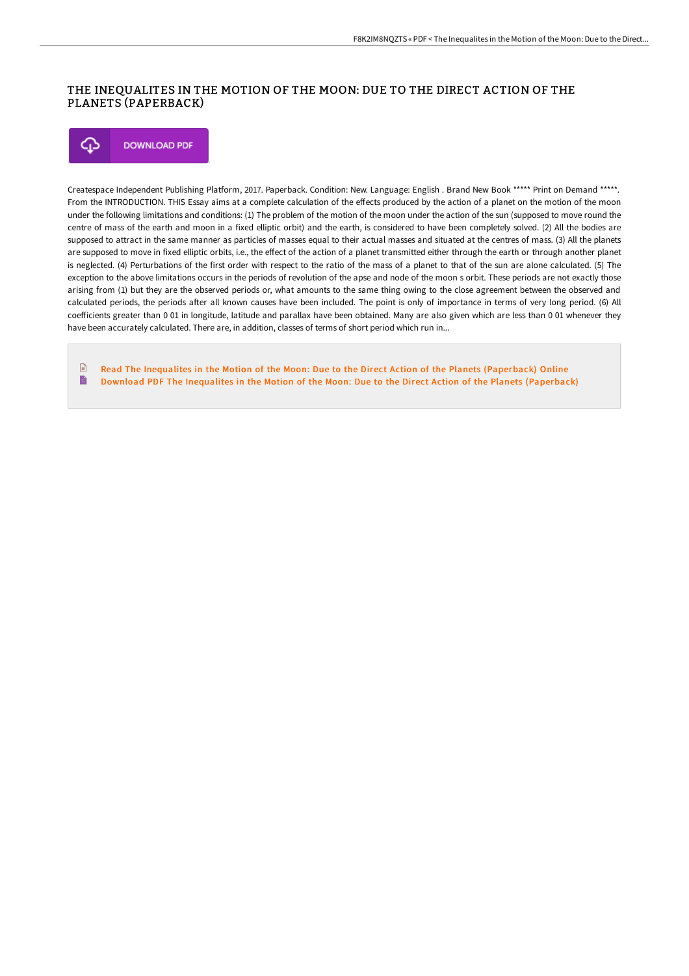## THE INEQUALITES IN THE MOTION OF THE MOON: DUE TO THE DIRECT ACTION OF THE PLANETS (PAPERBACK)

**DOWNLOAD PDF** Φ

Createspace Independent Publishing Platform, 2017. Paperback. Condition: New. Language: English . Brand New Book \*\*\*\*\* Print on Demand \*\*\*\*\*. From the INTRODUCTION. THIS Essay aims at a complete calculation of the effects produced by the action of a planet on the motion of the moon under the following limitations and conditions: (1) The problem of the motion of the moon under the action of the sun (supposed to move round the centre of mass of the earth and moon in a fixed elliptic orbit) and the earth, is considered to have been completely solved. (2) All the bodies are supposed to attract in the same manner as particles of masses equal to their actual masses and situated at the centres of mass. (3) All the planets are supposed to move in fixed elliptic orbits, i.e., the effect of the action of a planet transmitted either through the earth or through another planet is neglected. (4) Perturbations of the first order with respect to the ratio of the mass of a planet to that of the sun are alone calculated. (5) The exception to the above limitations occurs in the periods of revolution of the apse and node of the moon s orbit. These periods are not exactly those arising from (1) but they are the observed periods or, what amounts to the same thing owing to the close agreement between the observed and calculated periods, the periods after all known causes have been included. The point is only of importance in terms of very long period. (6) All coefficients greater than 0 01 in longitude, latitude and parallax have been obtained. Many are also given which are less than 0 01 whenever they have been accurately calculated. There are, in addition, classes of terms of short period which run in...

 $\Box$ Read The Inequalites in the Motion of the Moon: Due to the Direct Action of the Planets [\(Paperback\)](http://techno-pub.tech/the-inequalites-in-the-motion-of-the-moon-due-to.html) Online B Download PDF The Inequalites in the Motion of the Moon: Due to the Direct Action of the Planets [\(Paperback\)](http://techno-pub.tech/the-inequalites-in-the-motion-of-the-moon-due-to.html)